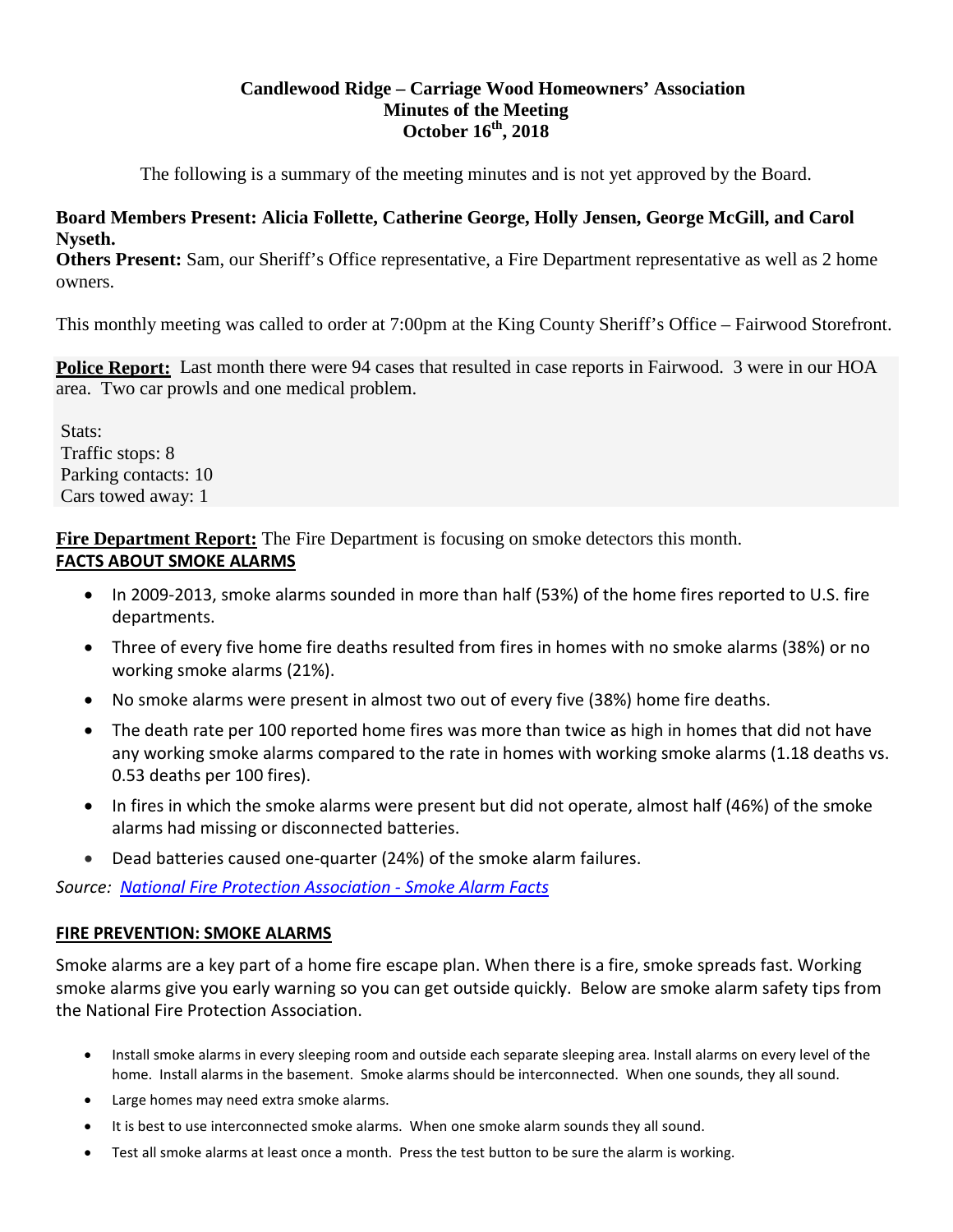## **Candlewood Ridge – Carriage Wood Homeowners' Association Minutes of the Meeting October 16th, 2018**

The following is a summary of the meeting minutes and is not yet approved by the Board.

#### **Board Members Present: Alicia Follette, Catherine George, Holly Jensen, George McGill, and Carol Nyseth.**

**Others Present:** Sam, our Sheriff's Office representative, a Fire Department representative as well as 2 home owners.

This monthly meeting was called to order at 7:00pm at the King County Sheriff's Office – Fairwood Storefront.

**Police Report:** Last month there were 94 cases that resulted in case reports in Fairwood. 3 were in our HOA area. Two car prowls and one medical problem.

Stats: Traffic stops: 8 Parking contacts: 10 Cars towed away: 1

**Fire Department Report:** The Fire Department is focusing on smoke detectors this month. **FACTS ABOUT SMOKE ALARMS**

- In 2009-2013, smoke alarms sounded in more than half (53%) of the home fires reported to U.S. fire departments.
- Three of every five home fire deaths resulted from fires in homes with no smoke alarms (38%) or no working smoke alarms (21%).
- No smoke alarms were present in almost two out of every five (38%) home fire deaths.
- The death rate per 100 reported home fires was more than twice as high in homes that did not have any working smoke alarms compared to the rate in homes with working smoke alarms (1.18 deaths vs. 0.53 deaths per 100 fires).
- In fires in which the smoke alarms were present but did not operate, almost half (46%) of the smoke alarms had missing or disconnected batteries.
- Dead batteries caused one-quarter (24%) of the smoke alarm failures.

*Source: [National Fire Protection Association -](https://www.nfpa.org/Public-Education/By-topic/Smoke-alarms) Smoke Alarm Facts*

## **FIRE PREVENTION: SMOKE ALARMS**

Smoke alarms are a key part of a home fire escape plan. When there is a fire, smoke spreads fast. Working smoke alarms give you early warning so you can get outside quickly. Below are smoke alarm safety tips from the National Fire Protection Association.

- Install smoke alarms in every sleeping room and outside each separate sleeping area. Install alarms on every level of the home. Install alarms in the basement. Smoke alarms should be interconnected. When one sounds, they all sound.
- Large homes may need extra smoke alarms.
- It is best to use interconnected smoke alarms. When one smoke alarm sounds they all sound.
- Test all smoke alarms at least once a month. Press the test button to be sure the alarm is working.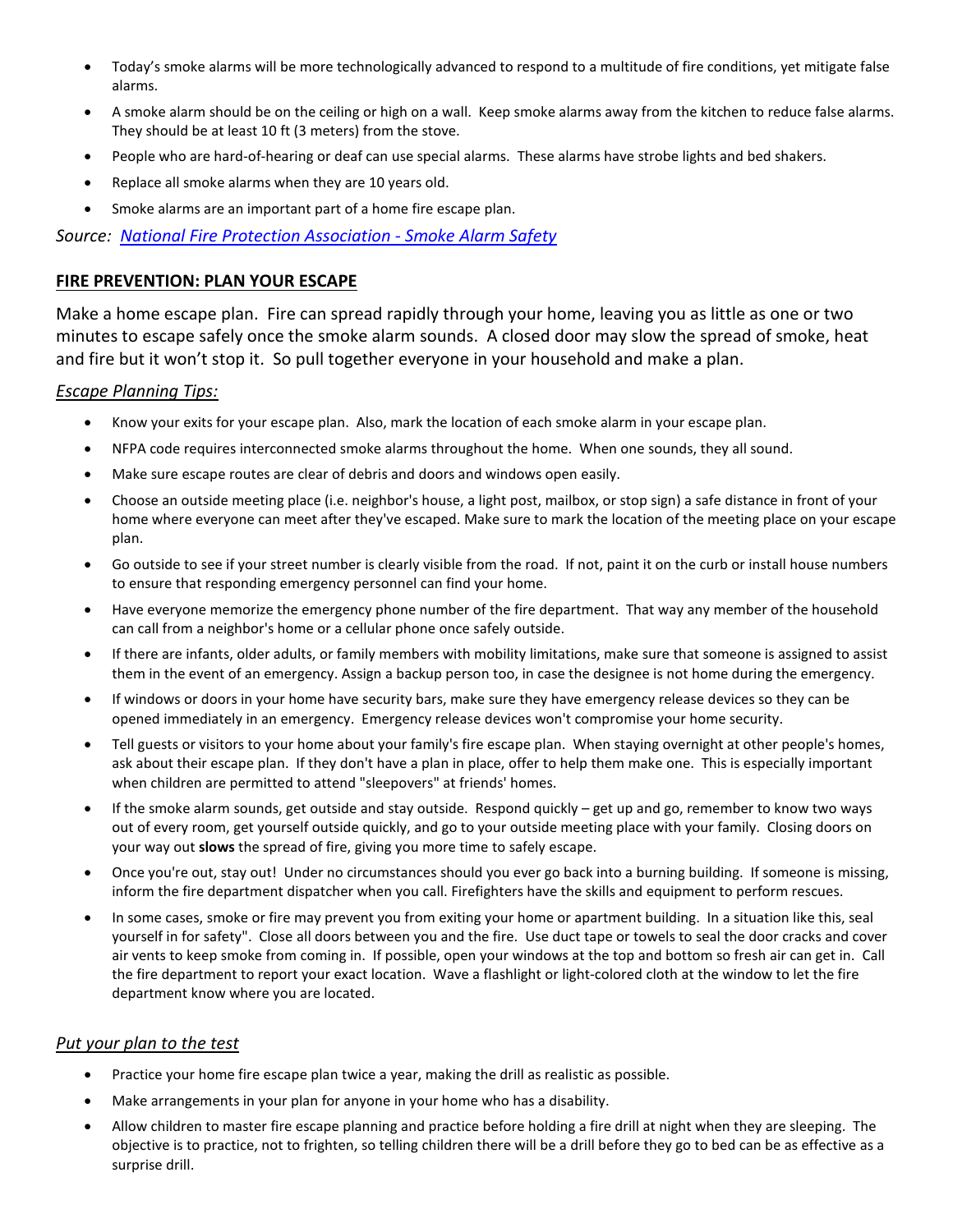- Today's smoke alarms will be more technologically advanced to respond to a multitude of fire conditions, yet mitigate false alarms.
- A smoke alarm should be on the ceiling or high on a wall. Keep smoke alarms away from the kitchen to reduce false alarms. They should be at least 10 ft (3 meters) from the stove.
- People who are hard-of-hearing or deaf can use special alarms. These alarms have strobe lights and bed shakers.
- Replace all smoke alarms when they are 10 years old.
- Smoke alarms are an important part of a home fire escape plan.

*Source: [National Fire Protection Association -](https://www.nfpa.org/Public-Education/By-topic/Smoke-alarms/Safety-messages-about-smoke-alarms) Smoke Alarm Safety*

#### **FIRE PREVENTION: PLAN YOUR ESCAPE**

Make a home escape plan. Fire can spread rapidly through your home, leaving you as little as one or two minutes to escape safely once the smoke alarm sounds. A closed door may slow the spread of smoke, heat and fire but it won't stop it. So pull together everyone in your household and make a plan.

#### *Escape Planning Tips:*

- Know your exits for your escape plan. Also, mark the location of each smoke alarm in your escape plan.
- NFPA code requires interconnected smoke alarms throughout the home. When one sounds, they all sound.
- Make sure escape routes are clear of debris and doors and windows open easily.
- Choose an outside meeting place (i.e. neighbor's house, a light post, mailbox, or stop sign) a safe distance in front of your home where everyone can meet after they've escaped. Make sure to mark the location of the meeting place on your escape plan.
- Go outside to see if your street number is clearly visible from the road. If not, paint it on the curb or install house numbers to ensure that responding emergency personnel can find your home.
- Have everyone memorize the emergency phone number of the fire department. That way any member of the household can call from a neighbor's home or a cellular phone once safely outside.
- If there are infants, older adults, or family members with mobility limitations, make sure that someone is assigned to assist them in the event of an emergency. Assign a backup person too, in case the designee is not home during the emergency.
- If windows or doors in your home have security bars, make sure they have emergency release devices so they can be opened immediately in an emergency. Emergency release devices won't compromise your home security.
- Tell guests or visitors to your home about your family's fire escape plan. When staying overnight at other people's homes, ask about their escape plan. If they don't have a plan in place, offer to help them make one. This is especially important when children are permitted to attend "sleepovers" at friends' homes.
- If the smoke alarm sounds, get outside and stay outside. Respond quickly get up and go, remember to know two ways out of every room, get yourself outside quickly, and go to your outside meeting place with your family. Closing doors on your way out **slows** the spread of fire, giving you more time to safely escape.
- Once you're out, stay out! Under no circumstances should you ever go back into a burning building. If someone is missing, inform the fire department dispatcher when you call. Firefighters have the skills and equipment to perform rescues.
- In some cases, smoke or fire may prevent you from exiting your home or apartment building. In a situation like this, seal yourself in for safety". Close all doors between you and the fire. Use duct tape or towels to seal the door cracks and cover air vents to keep smoke from coming in. If possible, open your windows at the top and bottom so fresh air can get in. Call the fire department to report your exact location. Wave a flashlight or light-colored cloth at the window to let the fire department know where you are located.

#### *Put your plan to the test*

- Practice your home fire escape plan twice a year, making the drill as realistic as possible.
- Make arrangements in your plan for anyone in your home who has a disability.
- Allow children to master fire escape planning and practice before holding a fire drill at night when they are sleeping. The objective is to practice, not to frighten, so telling children there will be a drill before they go to bed can be as effective as a surprise drill.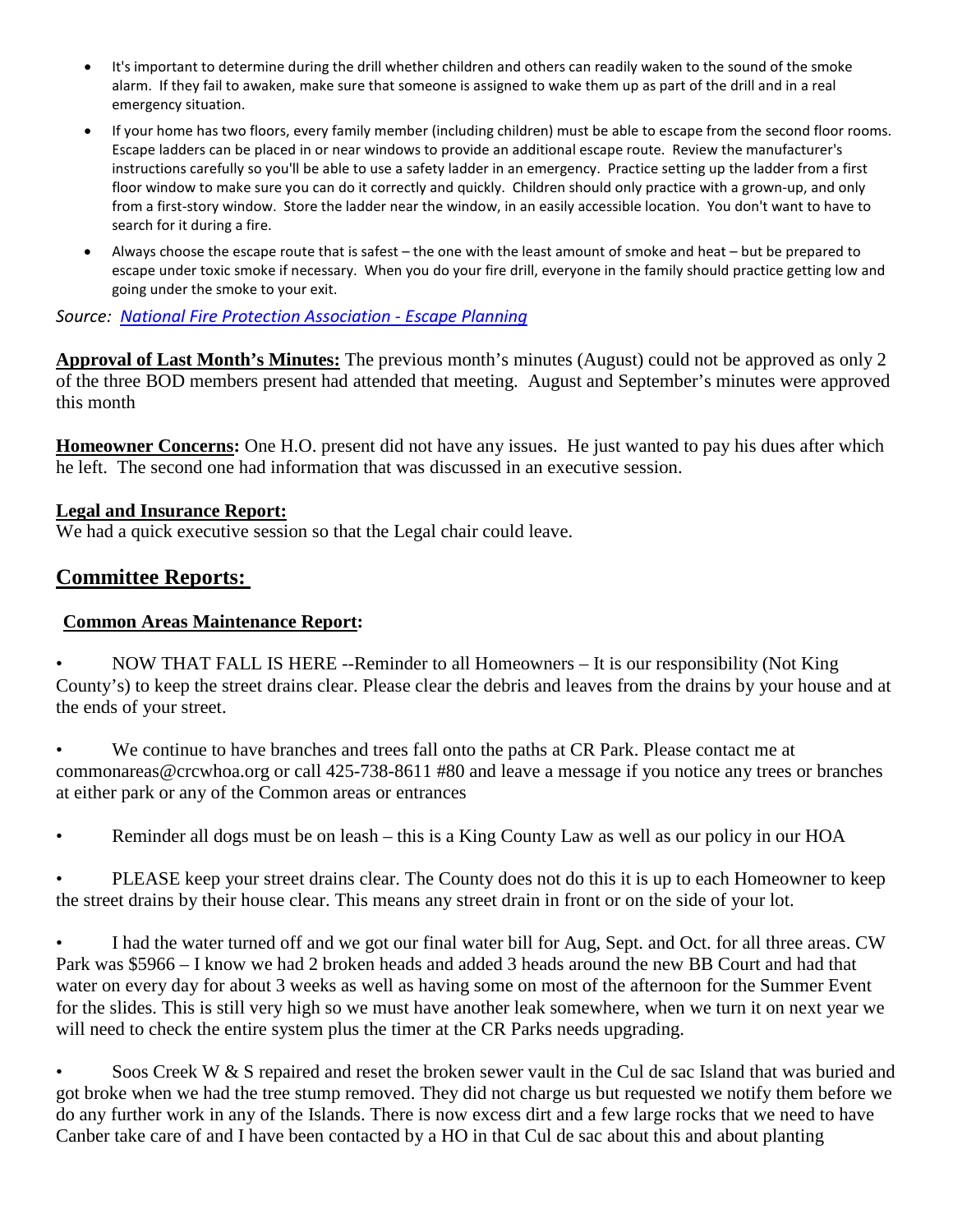- It's important to determine during the drill whether children and others can readily waken to the sound of the smoke alarm. If they fail to awaken, make sure that someone is assigned to wake them up as part of the drill and in a real emergency situation.
- If your home has two floors, every family member (including children) must be able to escape from the second floor rooms. Escape ladders can be placed in or near windows to provide an additional escape route. Review the manufacturer's instructions carefully so you'll be able to use a safety ladder in an emergency. Practice setting up the ladder from a first floor window to make sure you can do it correctly and quickly. Children should only practice with a grown-up, and only from a first-story window. Store the ladder near the window, in an easily accessible location. You don't want to have to search for it during a fire.
- Always choose the escape route that is safest the one with the least amount of smoke and heat but be prepared to escape under toxic smoke if necessary. When you do your fire drill, everyone in the family should practice getting low and going under the smoke to your exit.

*Source: [National Fire Protection Association -](https://www.nfpa.org/Public-Education/By-topic/Safety-in-the-home/Escape-planning) Escape Planning*

**Approval of Last Month's Minutes:** The previous month's minutes (August) could not be approved as only 2 of the three BOD members present had attended that meeting. August and September's minutes were approved this month

**Homeowner Concerns:** One H.O. present did not have any issues. He just wanted to pay his dues after which he left. The second one had information that was discussed in an executive session.

#### **Legal and Insurance Report:**

We had a quick executive session so that the Legal chair could leave.

# **Committee Reports:**

#### **Common Areas Maintenance Report:**

• NOW THAT FALL IS HERE --Reminder to all Homeowners – It is our responsibility (Not King County's) to keep the street drains clear. Please clear the debris and leaves from the drains by your house and at the ends of your street.

• We continue to have branches and trees fall onto the paths at CR Park. Please contact me at commonareas@crcwhoa.org or call 425-738-8611 #80 and leave a message if you notice any trees or branches at either park or any of the Common areas or entrances

• Reminder all dogs must be on leash – this is a King County Law as well as our policy in our HOA

PLEASE keep your street drains clear. The County does not do this it is up to each Homeowner to keep the street drains by their house clear. This means any street drain in front or on the side of your lot.

I had the water turned off and we got our final water bill for Aug, Sept. and Oct. for all three areas. CW Park was \$5966 – I know we had 2 broken heads and added 3 heads around the new BB Court and had that water on every day for about 3 weeks as well as having some on most of the afternoon for the Summer Event for the slides. This is still very high so we must have another leak somewhere, when we turn it on next year we will need to check the entire system plus the timer at the CR Parks needs upgrading.

Soos Creek W & S repaired and reset the broken sewer vault in the Cul de sac Island that was buried and got broke when we had the tree stump removed. They did not charge us but requested we notify them before we do any further work in any of the Islands. There is now excess dirt and a few large rocks that we need to have Canber take care of and I have been contacted by a HO in that Cul de sac about this and about planting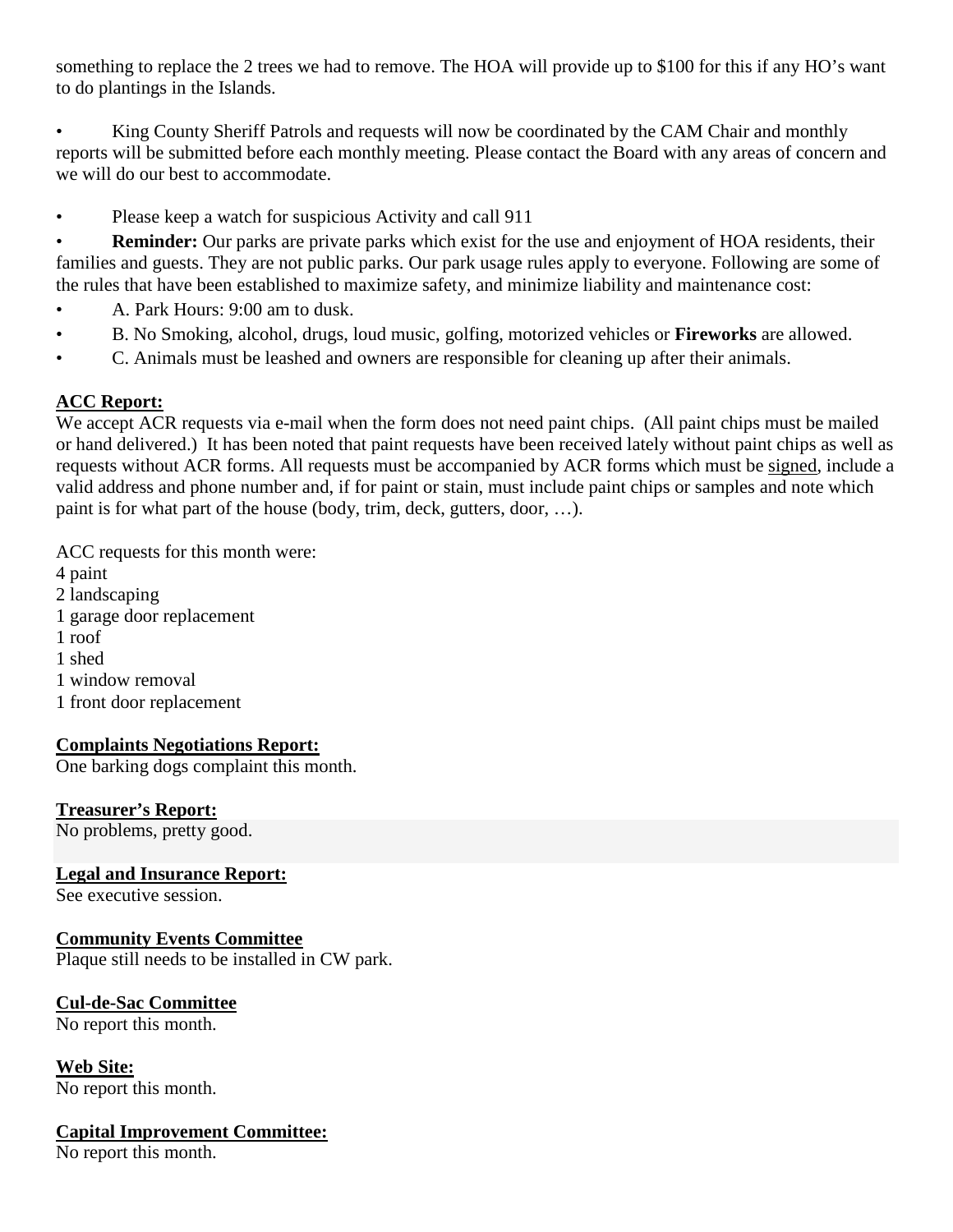something to replace the 2 trees we had to remove. The HOA will provide up to \$100 for this if any HO's want to do plantings in the Islands.

King County Sheriff Patrols and requests will now be coordinated by the CAM Chair and monthly reports will be submitted before each monthly meeting. Please contact the Board with any areas of concern and we will do our best to accommodate.

• Please keep a watch for suspicious Activity and call 911

• **Reminder:** Our parks are private parks which exist for the use and enjoyment of HOA residents, their families and guests. They are not public parks. Our park usage rules apply to everyone. Following are some of the rules that have been established to maximize safety, and minimize liability and maintenance cost:

- A. Park Hours: 9:00 am to dusk.
- B. No Smoking, alcohol, drugs, loud music, golfing, motorized vehicles or **Fireworks** are allowed.
- C. Animals must be leashed and owners are responsible for cleaning up after their animals.

## **ACC Report:**

We accept ACR requests via e-mail when the form does not need paint chips. (All paint chips must be mailed or hand delivered.) It has been noted that paint requests have been received lately without paint chips as well as requests without ACR forms. All requests must be accompanied by ACR forms which must be signed, include a valid address and phone number and, if for paint or stain, must include paint chips or samples and note which paint is for what part of the house (body, trim, deck, gutters, door, …).

ACC requests for this month were:

- 4 paint
- 2 landscaping
- 1 garage door replacement
- 1 roof
- 1 shed
- 1 window removal
- 1 front door replacement

## **Complaints Negotiations Report:**

One barking dogs complaint this month.

## **Treasurer's Report:**

No problems, pretty good.

## **Legal and Insurance Report:**

See executive session.

## **Community Events Committee**

Plaque still needs to be installed in CW park.

# **Cul-de-Sac Committee**

No report this month.

## **Web Site:**

No report this month.

## **Capital Improvement Committee:**

No report this month.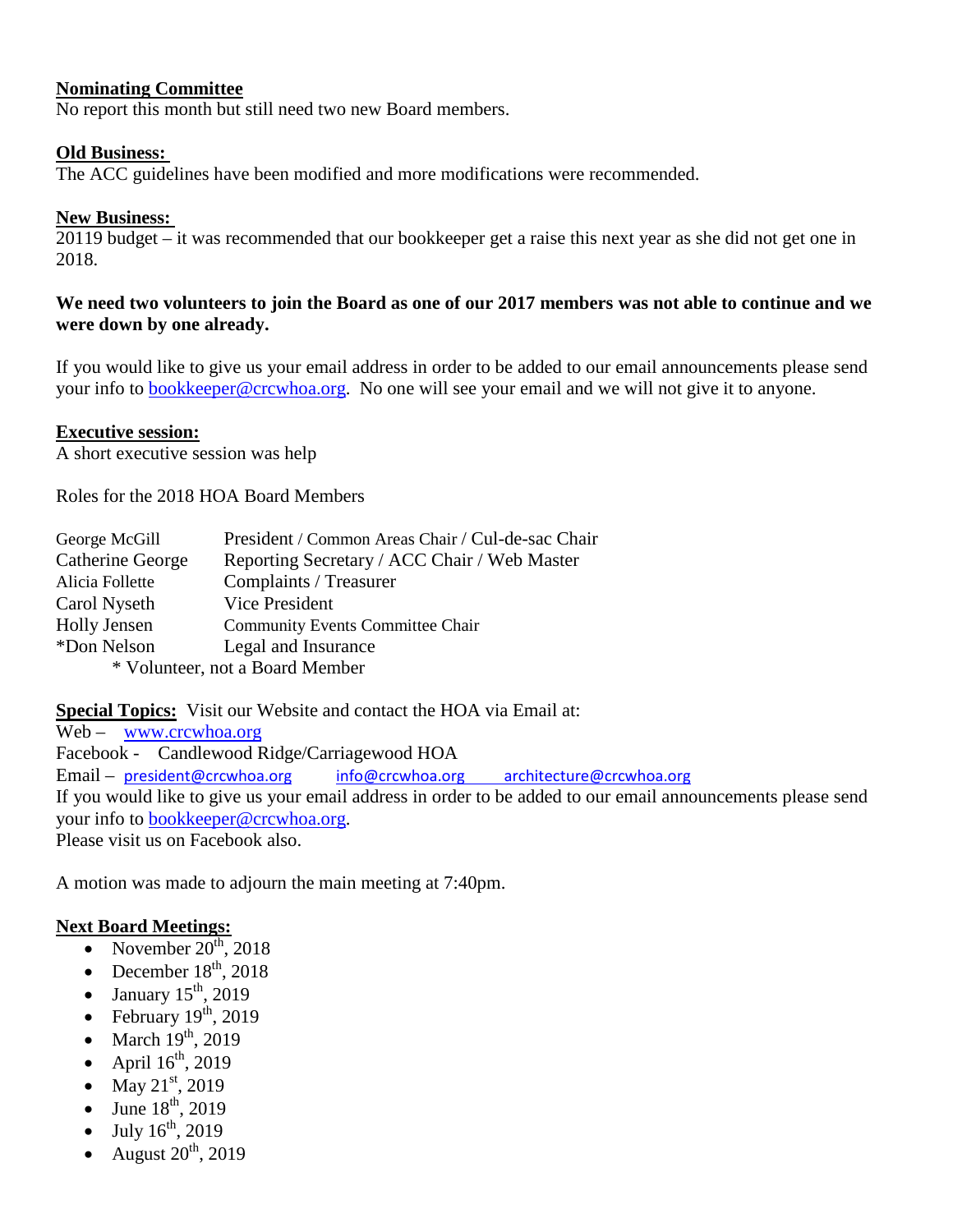#### **Nominating Committee**

No report this month but still need two new Board members.

#### **Old Business:**

The ACC guidelines have been modified and more modifications were recommended.

#### **New Business:**

20119 budget – it was recommended that our bookkeeper get a raise this next year as she did not get one in 2018.

#### **We need two volunteers to join the Board as one of our 2017 members was not able to continue and we were down by one already.**

If you would like to give us your email address in order to be added to our email announcements please send your info to [bookkeeper@crcwhoa.org.](mailto:bookkeeper@crcwhoa.org) No one will see your email and we will not give it to anyone.

#### **Executive session:**

A short executive session was help

Roles for the 2018 HOA Board Members

| George McGill           | President / Common Areas Chair / Cul-de-sac Chair |
|-------------------------|---------------------------------------------------|
| <b>Catherine George</b> | Reporting Secretary / ACC Chair / Web Master      |
| Alicia Follette         | Complaints / Treasurer                            |
| Carol Nyseth            | Vice President                                    |
| <b>Holly Jensen</b>     | <b>Community Events Committee Chair</b>           |
| *Don Nelson             | Legal and Insurance                               |
|                         | * Volunteer, not a Board Member                   |
|                         |                                                   |

**Special Topics:** Visit our Website and contact the HOA via Email at:

Web – [www.crcwhoa.org](http://www.crcwhoa.org/) Facebook - Candlewood Ridge/Carriagewood HOA Email – [president@crcwhoa.org](mailto:president@crcwhoa.org) [info@crcwhoa.org](mailto:info@crcwhoa.org) [architecture@crcwhoa.org](mailto:architecture@crcwhoa.org) If you would like to give us your email address in order to be added to our email announcements please send your info to [bookkeeper@crcwhoa.org.](mailto:bookkeeper@crcwhoa.org) Please visit us on Facebook also.

A motion was made to adjourn the main meeting at 7:40pm.

#### **Next Board Meetings:**

- November  $20^{th}$ , 2018
- December  $18^{th}$ , 2018
- January  $15<sup>th</sup>$ , 2019
- February  $19<sup>th</sup>$ , 2019
- March  $19<sup>th</sup>$ , 2019
- April  $16^{th}$ , 2019
- May  $21^{st}$ , 2019
- June  $18^{th}$ , 2019
- July  $16^{th}$ , 2019
- August  $20^{th}$ , 2019